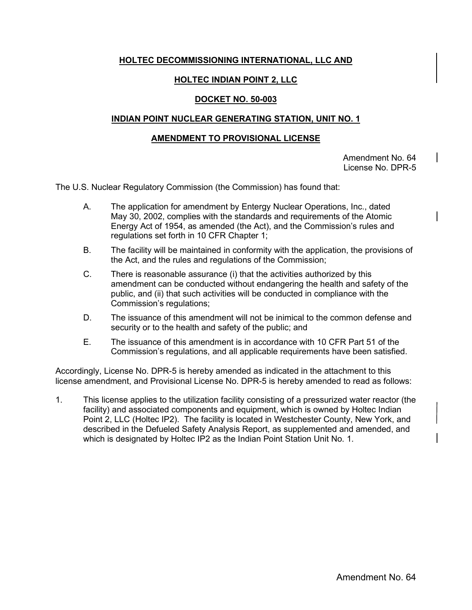## **HOLTEC DECOMMISSIONING INTERNATIONAL, LLC AND**

## **HOLTEC INDIAN POINT 2, LLC**

### **DOCKET NO. 50-003**

### **INDIAN POINT NUCLEAR GENERATING STATION, UNIT NO. 1**

#### **AMENDMENT TO PROVISIONAL LICENSE**

Amendment No. 64 License No. DPR-5

The U.S. Nuclear Regulatory Commission (the Commission) has found that:

- A. The application for amendment by Entergy Nuclear Operations, Inc., dated May 30, 2002, complies with the standards and requirements of the Atomic Energy Act of 1954, as amended (the Act), and the Commission's rules and regulations set forth in 10 CFR Chapter 1;
- B. The facility will be maintained in conformity with the application, the provisions of the Act, and the rules and regulations of the Commission;
- C. There is reasonable assurance (i) that the activities authorized by this amendment can be conducted without endangering the health and safety of the public, and (ii) that such activities will be conducted in compliance with the Commission's regulations;
- D. The issuance of this amendment will not be inimical to the common defense and security or to the health and safety of the public; and
- E. The issuance of this amendment is in accordance with 10 CFR Part 51 of the Commission's regulations, and all applicable requirements have been satisfied.

Accordingly, License No. DPR-5 is hereby amended as indicated in the attachment to this license amendment, and Provisional License No. DPR-5 is hereby amended to read as follows:

1. This license applies to the utilization facility consisting of a pressurized water reactor (the facility) and associated components and equipment, which is owned by Holtec Indian Point 2, LLC (Holtec IP2). The facility is located in Westchester County, New York, and described in the Defueled Safety Analysis Report, as supplemented and amended, and which is designated by Holtec IP2 as the Indian Point Station Unit No. 1.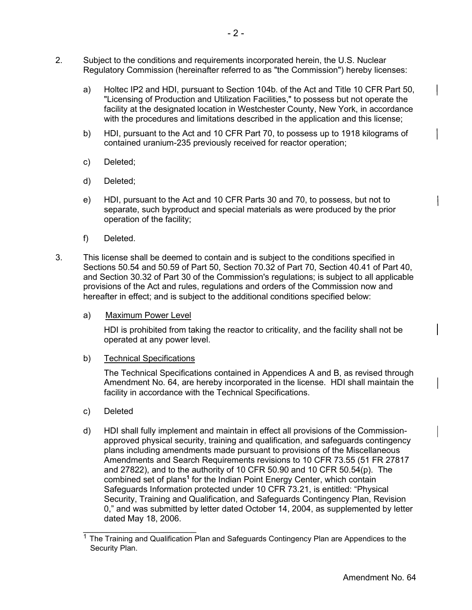- 2. Subject to the conditions and requirements incorporated herein, the U.S. Nuclear Regulatory Commission (hereinafter referred to as "the Commission") hereby licenses:
	- a) Holtec IP2 and HDI, pursuant to Section 104b. of the Act and Title 10 CFR Part 50, "Licensing of Production and Utilization Facilities," to possess but not operate the facility at the designated location in Westchester County, New York, in accordance with the procedures and limitations described in the application and this license;
	- b) HDI, pursuant to the Act and 10 CFR Part 70, to possess up to 1918 kilograms of contained uranium-235 previously received for reactor operation;
	- c) Deleted;
	- d) Deleted;
	- e) HDI, pursuant to the Act and 10 CFR Parts 30 and 70, to possess, but not to separate, such byproduct and special materials as were produced by the prior operation of the facility;
	- f) Deleted.
- 3. This license shall be deemed to contain and is subject to the conditions specified in Sections 50.54 and 50.59 of Part 50, Section 70.32 of Part 70, Section 40.41 of Part 40, and Section 30.32 of Part 30 of the Commission's regulations; is subject to all applicable provisions of the Act and rules, regulations and orders of the Commission now and hereafter in effect; and is subject to the additional conditions specified below:
	- a) Maximum Power Level

HDI is prohibited from taking the reactor to criticality, and the facility shall not be operated at any power level.

b) Technical Specifications

 $\overline{\phantom{a}}$  , where  $\overline{\phantom{a}}$  , where  $\overline{\phantom{a}}$  , where  $\overline{\phantom{a}}$ 

The Technical Specifications contained in Appendices A and B, as revised through Amendment No. 64, are hereby incorporated in the license. HDI shall maintain the facility in accordance with the Technical Specifications.

- c) Deleted
- d) HDI shall fully implement and maintain in effect all provisions of the Commissionapproved physical security, training and qualification, and safeguards contingency plans including amendments made pursuant to provisions of the Miscellaneous Amendments and Search Requirements revisions to 10 CFR 73.55 (51 FR 27817 and 27822), and to the authority of 10 CFR 50.90 and 10 CFR 50.54(p). The combined set of plans**<sup>1</sup>** for the Indian Point Energy Center, which contain Safeguards Information protected under 10 CFR 73.21, is entitled: "Physical Security, Training and Qualification, and Safeguards Contingency Plan, Revision 0," and was submitted by letter dated October 14, 2004, as supplemented by letter dated May 18, 2006.

<sup>1</sup> The Training and Qualification Plan and Safeguards Contingency Plan are Appendices to the Security Plan.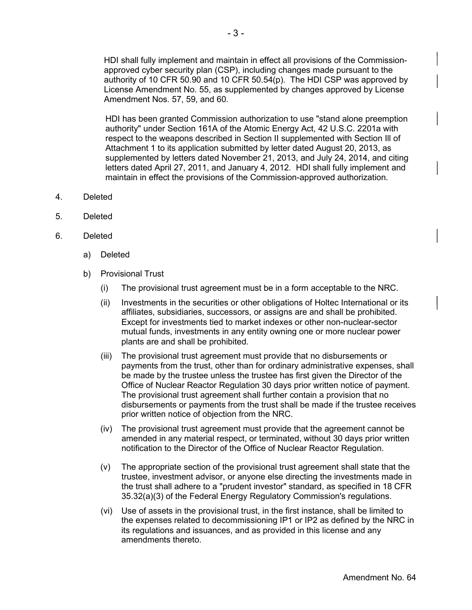HDI shall fully implement and maintain in effect all provisions of the Commissionapproved cyber security plan (CSP), including changes made pursuant to the authority of 10 CFR 50.90 and 10 CFR 50.54(p). The HDI CSP was approved by License Amendment No. 55, as supplemented by changes approved by License Amendment Nos. 57, 59, and 60.

HDI has been granted Commission authorization to use "stand alone preemption authority" under Section 161A of the Atomic Energy Act, 42 U.S.C. 2201a with respect to the weapons described in Section II supplemented with Section Ill of Attachment 1 to its application submitted by letter dated August 20, 2013, as supplemented by letters dated November 21, 2013, and July 24, 2014, and citing letters dated April 27, 2011, and January 4, 2012. HDI shall fully implement and maintain in effect the provisions of the Commission-approved authorization.

- 4. Deleted
- 5. Deleted
- 6. Deleted
	- a) Deleted
	- b) Provisional Trust
		- (i) The provisional trust agreement must be in a form acceptable to the NRC.
		- (ii) Investments in the securities or other obligations of Holtec International or its affiliates, subsidiaries, successors, or assigns are and shall be prohibited. Except for investments tied to market indexes or other non-nuclear-sector mutual funds, investments in any entity owning one or more nuclear power plants are and shall be prohibited.
		- (iii) The provisional trust agreement must provide that no disbursements or payments from the trust, other than for ordinary administrative expenses, shall be made by the trustee unless the trustee has first given the Director of the Office of Nuclear Reactor Regulation 30 days prior written notice of payment. The provisional trust agreement shall further contain a provision that no disbursements or payments from the trust shall be made if the trustee receives prior written notice of objection from the NRC.
		- (iv) The provisional trust agreement must provide that the agreement cannot be amended in any material respect, or terminated, without 30 days prior written notification to the Director of the Office of Nuclear Reactor Regulation.
		- (v) The appropriate section of the provisional trust agreement shall state that the trustee, investment advisor, or anyone else directing the investments made in the trust shall adhere to a "prudent investor" standard, as specified in 18 CFR 35.32(a)(3) of the Federal Energy Regulatory Commission's regulations.
		- (vi) Use of assets in the provisional trust, in the first instance, shall be limited to the expenses related to decommissioning IP1 or IP2 as defined by the NRC in its regulations and issuances, and as provided in this license and any amendments thereto.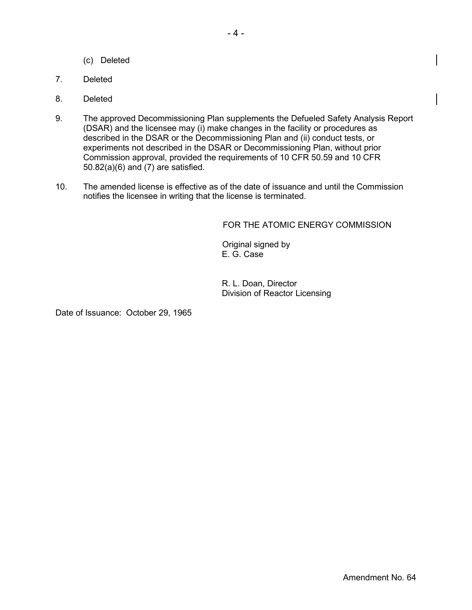- (c) Deleted
- 7. Deleted
- 8. Deleted
- 9. The approved Decommissioning Plan supplements the Defueled Safety Analysis Report (DSAR) and the licensee may (i) make changes in the facility or procedures as described in the DSAR or the Decommissioning Plan and (ii) conduct tests, or experiments not described in the DSAR or Decommissioning Plan, without prior Commission approval, provided the requirements of 10 CFR 50.59 and 10 CFR 50.82(a)(6) and (7) are satisfied.
- 10. The amended license is effective as of the date of issuance and until the Commission notifies the licensee in writing that the license is terminated.

FOR THE ATOMIC ENERGY COMMISSION

 Original signed by E. G. Case

R. L. Doan, Director Division of Reactor Licensing

Date of Issuance: October 29, 1965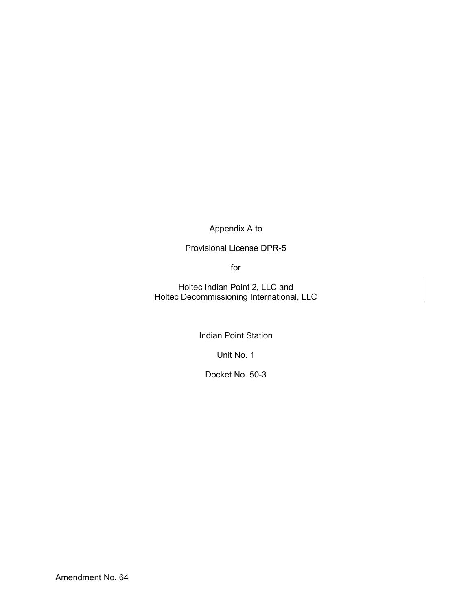Appendix A to

Provisional License DPR-5

for

Holtec Indian Point 2, LLC and Holtec Decommissioning International, LLC

Indian Point Station

Unit No. 1

Docket No. 50-3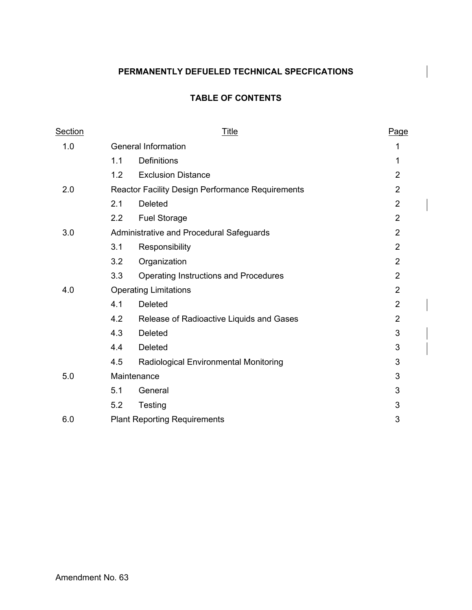# **PERMANENTLY DEFUELED TECHNICAL SPECFICATIONS**

## **TABLE OF CONTENTS**

| <u>Section</u> |                                                         | <u>Title</u>                                 | Page           |
|----------------|---------------------------------------------------------|----------------------------------------------|----------------|
| 1.0            | <b>General Information</b>                              |                                              | 1              |
|                | 1.1                                                     | <b>Definitions</b>                           | 1              |
|                | 1.2                                                     | <b>Exclusion Distance</b>                    | $\overline{2}$ |
| 2.0            | <b>Reactor Facility Design Performance Requirements</b> |                                              | $\overline{2}$ |
|                | 2.1                                                     | <b>Deleted</b>                               | $\overline{2}$ |
|                | 2.2                                                     | <b>Fuel Storage</b>                          | $\overline{2}$ |
| 3.0            | Administrative and Procedural Safeguards                |                                              | $\overline{2}$ |
|                | 3.1                                                     | Responsibility                               | $\overline{2}$ |
|                | 3.2                                                     | Organization                                 | $\overline{2}$ |
|                | 3.3                                                     | <b>Operating Instructions and Procedures</b> | $\overline{2}$ |
| 4.0            | <b>Operating Limitations</b>                            |                                              | $\overline{2}$ |
|                | 4.1                                                     | <b>Deleted</b>                               | $\overline{2}$ |
|                | 4.2                                                     | Release of Radioactive Liquids and Gases     | $\overline{2}$ |
|                | 4.3                                                     | <b>Deleted</b>                               | 3              |
|                | 4.4                                                     | Deleted                                      | 3              |
|                | 4.5                                                     | Radiological Environmental Monitoring        | 3              |
| 5.0            | Maintenance                                             |                                              | 3              |
|                | 5.1                                                     | General                                      | 3              |
|                | 5.2                                                     | <b>Testing</b>                               | 3              |
| 6.0            |                                                         | <b>Plant Reporting Requirements</b>          | 3              |
|                |                                                         |                                              |                |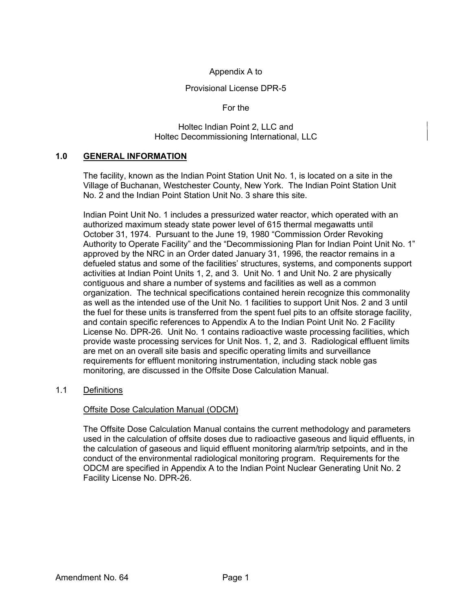## Appendix A to

### Provisional License DPR-5

For the

Holtec Indian Point 2, LLC and Holtec Decommissioning International, LLC

### **1.0 GENERAL INFORMATION**

The facility, known as the Indian Point Station Unit No. 1, is located on a site in the Village of Buchanan, Westchester County, New York. The Indian Point Station Unit No. 2 and the Indian Point Station Unit No. 3 share this site.

Indian Point Unit No. 1 includes a pressurized water reactor, which operated with an authorized maximum steady state power level of 615 thermal megawatts until October 31, 1974. Pursuant to the June 19, 1980 "Commission Order Revoking Authority to Operate Facility" and the "Decommissioning Plan for Indian Point Unit No. 1" approved by the NRC in an Order dated January 31, 1996, the reactor remains in a defueled status and some of the facilities' structures, systems, and components support activities at Indian Point Units 1, 2, and 3. Unit No. 1 and Unit No. 2 are physically contiguous and share a number of systems and facilities as well as a common organization. The technical specifications contained herein recognize this commonality as well as the intended use of the Unit No. 1 facilities to support Unit Nos. 2 and 3 until the fuel for these units is transferred from the spent fuel pits to an offsite storage facility, and contain specific references to Appendix A to the Indian Point Unit No. 2 Facility License No. DPR-26. Unit No. 1 contains radioactive waste processing facilities, which provide waste processing services for Unit Nos. 1, 2, and 3. Radiological effluent limits are met on an overall site basis and specific operating limits and surveillance requirements for effluent monitoring instrumentation, including stack noble gas monitoring, are discussed in the Offsite Dose Calculation Manual.

#### 1.1 Definitions

## Offsite Dose Calculation Manual (ODCM)

The Offsite Dose Calculation Manual contains the current methodology and parameters used in the calculation of offsite doses due to radioactive gaseous and liquid effluents, in the calculation of gaseous and liquid effluent monitoring alarm/trip setpoints, and in the conduct of the environmental radiological monitoring program. Requirements for the ODCM are specified in Appendix A to the Indian Point Nuclear Generating Unit No. 2 Facility License No. DPR-26.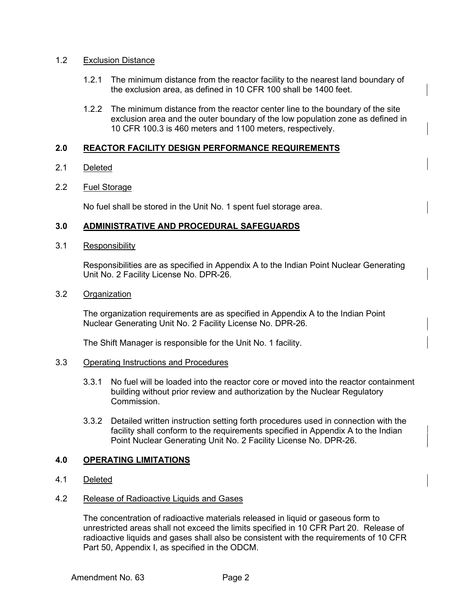#### 1.2 Exclusion Distance

- 1.2.1 The minimum distance from the reactor facility to the nearest land boundary of the exclusion area, as defined in 10 CFR 100 shall be 1400 feet.
- 1.2.2 The minimum distance from the reactor center line to the boundary of the site exclusion area and the outer boundary of the low population zone as defined in 10 CFR 100.3 is 460 meters and 1100 meters, respectively.

## **2.0 REACTOR FACILITY DESIGN PERFORMANCE REQUIREMENTS**

## 2.1 Deleted

## 2.2 Fuel Storage

No fuel shall be stored in the Unit No. 1 spent fuel storage area.

## **3.0 ADMINISTRATIVE AND PROCEDURAL SAFEGUARDS**

### 3.1 Responsibility

Responsibilities are as specified in Appendix A to the Indian Point Nuclear Generating Unit No. 2 Facility License No. DPR-26.

### 3.2 Organization

The organization requirements are as specified in Appendix A to the Indian Point Nuclear Generating Unit No. 2 Facility License No. DPR-26.

The Shift Manager is responsible for the Unit No. 1 facility.

#### 3.3 Operating Instructions and Procedures

- 3.3.1 No fuel will be loaded into the reactor core or moved into the reactor containment building without prior review and authorization by the Nuclear Regulatory Commission.
- 3.3.2 Detailed written instruction setting forth procedures used in connection with the facility shall conform to the requirements specified in Appendix A to the Indian Point Nuclear Generating Unit No. 2 Facility License No. DPR-26.

## **4.0 OPERATING LIMITATIONS**

4.1 Deleted

## 4.2 Release of Radioactive Liquids and Gases

The concentration of radioactive materials released in liquid or gaseous form to unrestricted areas shall not exceed the limits specified in 10 CFR Part 20. Release of radioactive liquids and gases shall also be consistent with the requirements of 10 CFR Part 50, Appendix I, as specified in the ODCM.